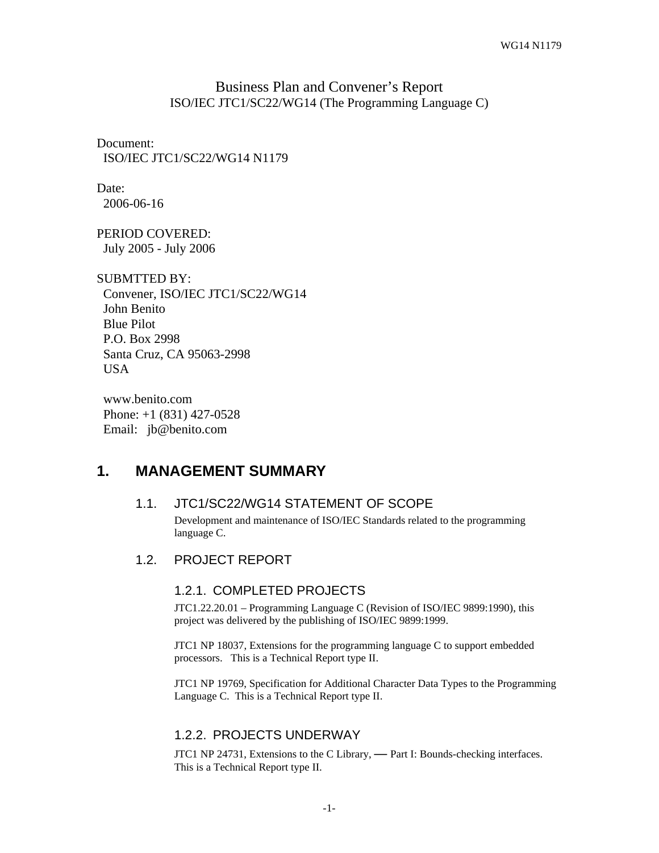## Business Plan and Convener's Report ISO/IEC JTC1/SC22/WG14 (The Programming Language C)

Document: ISO/IEC JTC1/SC22/WG14 N1179

Date: 2006-06-16

PERIOD COVERED: July 2005 - July 2006

SUBMTTED BY: Convener, ISO/IEC JTC1/SC22/WG14 John Benito Blue Pilot P.O. Box 2998 Santa Cruz, CA 95063-2998 USA

 www.benito.com Phone: +1 (831) 427-0528 Email: jb@benito.com

## **1. MANAGEMENT SUMMARY**

## 1.1. JTC1/SC22/WG14 STATEMENT OF SCOPE

Development and maintenance of ISO/IEC Standards related to the programming language C.

1.2. PROJECT REPORT

## 1.2.1. COMPLETED PROJECTS

JTC1.22.20.01 – Programming Language C (Revision of ISO/IEC 9899:1990), this project was delivered by the publishing of ISO/IEC 9899:1999.

JTC1 NP 18037, Extensions for the programming language C to support embedded processors. This is a Technical Report type II.

JTC1 NP 19769, Specification for Additional Character Data Types to the Programming Language C. This is a Technical Report type II.

## 1.2.2. PROJECTS UNDERWAY

JTC1 NP 24731, Extensions to the C Library, **—** Part I: Bounds-checking interfaces. This is a Technical Report type II.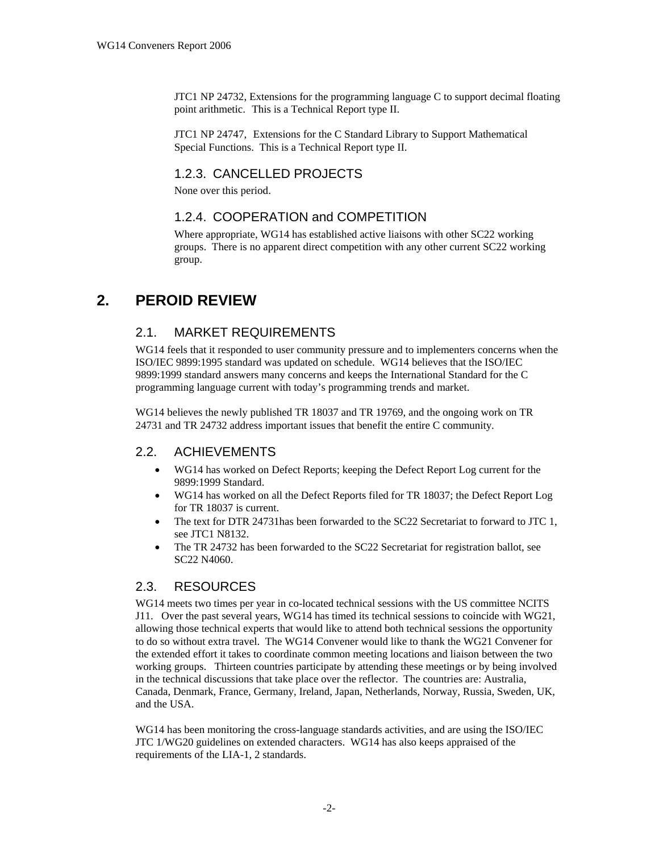JTC1 NP 24732, Extensions for the programming language C to support decimal floating point arithmetic. This is a Technical Report type II.

JTC1 NP 24747, Extensions for the C Standard Library to Support Mathematical Special Functions. This is a Technical Report type II.

### 1.2.3. CANCELLED PROJECTS

None over this period.

#### 1.2.4. COOPERATION and COMPETITION

Where appropriate, WG14 has established active liaisons with other SC22 working groups. There is no apparent direct competition with any other current SC22 working group.

# **2. PEROID REVIEW**

#### 2.1. MARKET REQUIREMENTS

WG14 feels that it responded to user community pressure and to implementers concerns when the ISO/IEC 9899:1995 standard was updated on schedule. WG14 believes that the ISO/IEC 9899:1999 standard answers many concerns and keeps the International Standard for the C programming language current with today's programming trends and market.

WG14 believes the newly published TR 18037 and TR 19769, and the ongoing work on TR 24731 and TR 24732 address important issues that benefit the entire C community.

#### 2.2. ACHIEVEMENTS

- WG14 has worked on Defect Reports; keeping the Defect Report Log current for the 9899:1999 Standard.
- WG14 has worked on all the Defect Reports filed for TR 18037; the Defect Report Log for TR 18037 is current.
- The text for DTR 24731has been forwarded to the SC22 Secretariat to forward to JTC 1, see JTC1 N8132.
- The TR 24732 has been forwarded to the SC22 Secretariat for registration ballot, see SC22 N4060.

#### 2.3. RESOURCES

WG14 meets two times per year in co-located technical sessions with the US committee NCITS J11. Over the past several years, WG14 has timed its technical sessions to coincide with WG21, allowing those technical experts that would like to attend both technical sessions the opportunity to do so without extra travel. The WG14 Convener would like to thank the WG21 Convener for the extended effort it takes to coordinate common meeting locations and liaison between the two working groups. Thirteen countries participate by attending these meetings or by being involved in the technical discussions that take place over the reflector. The countries are: Australia, Canada, Denmark, France, Germany, Ireland, Japan, Netherlands, Norway, Russia, Sweden, UK, and the USA.

WG14 has been monitoring the cross-language standards activities, and are using the ISO/IEC JTC 1/WG20 guidelines on extended characters. WG14 has also keeps appraised of the requirements of the LIA-1, 2 standards.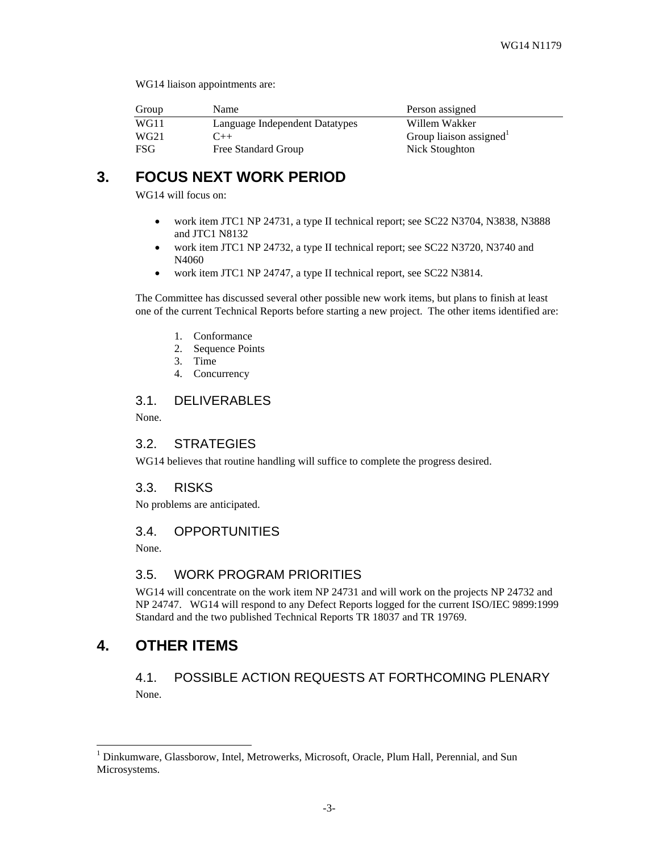WG14 liaison appointments are:

| Group            | Name                           | Person assigned        |
|------------------|--------------------------------|------------------------|
| WG11             | Language Independent Datatypes | Willem Wakker          |
| WG <sub>21</sub> | $($ ++                         | Group liaison assigned |
| FSG              | Free Standard Group            | Nick Stoughton         |

# **3. FOCUS NEXT WORK PERIOD**

WG14 will focus on:

- work item JTC1 NP 24731, a type II technical report; see SC22 N3704, N3838, N3888 and JTC1 N8132
- work item JTC1 NP 24732, a type II technical report; see SC22 N3720, N3740 and N4060
- work item JTC1 NP 24747, a type II technical report, see SC22 N3814.

The Committee has discussed several other possible new work items, but plans to finish at least one of the current Technical Reports before starting a new project. The other items identified are:

- 1. Conformance
- 2. Sequence Points
- 3. Time
- 4. Concurrency

#### 3.1. DELIVERABLES

None.

#### 3.2. STRATEGIES

WG14 believes that routine handling will suffice to complete the progress desired.

#### 3.3. RISKS

No problems are anticipated.

#### 3.4. OPPORTUNITIES

None.

#### 3.5. WORK PROGRAM PRIORITIES

WG14 will concentrate on the work item NP 24731 and will work on the projects NP 24732 and NP 24747. WG14 will respond to any Defect Reports logged for the current ISO/IEC 9899:1999 Standard and the two published Technical Reports TR 18037 and TR 19769.

# **4. OTHER ITEMS**

4.1. POSSIBLE ACTION REQUESTS AT FORTHCOMING PLENARY None.

 1 Dinkumware, Glassborow, Intel, Metrowerks, Microsoft, Oracle, Plum Hall, Perennial, and Sun Microsystems.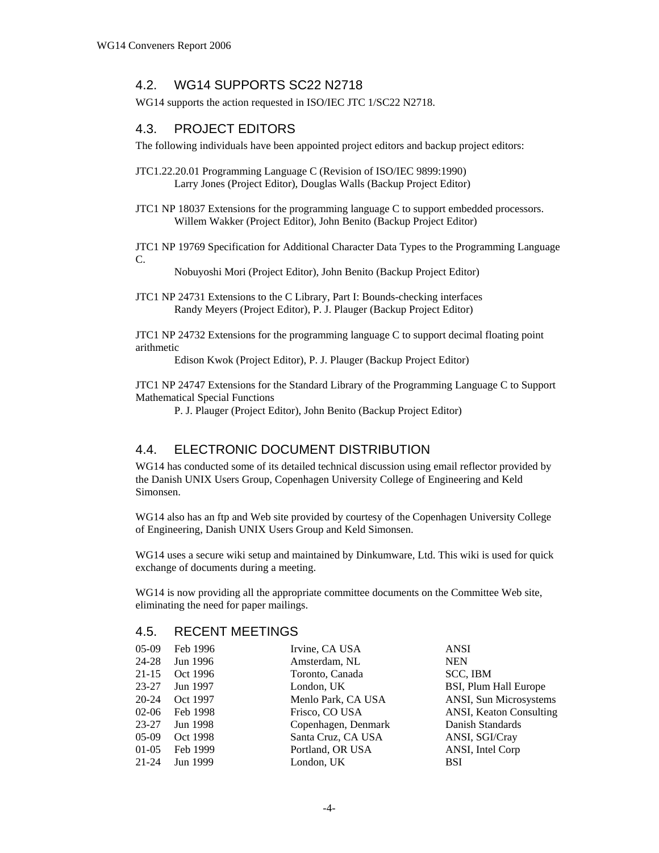### 4.2. WG14 SUPPORTS SC22 N2718

WG14 supports the action requested in ISO/IEC JTC 1/SC22 N2718.

### 4.3. PROJECT EDITORS

The following individuals have been appointed project editors and backup project editors:

- JTC1.22.20.01 Programming Language C (Revision of ISO/IEC 9899:1990) Larry Jones (Project Editor), Douglas Walls (Backup Project Editor)
- JTC1 NP 18037 Extensions for the programming language C to support embedded processors. Willem Wakker (Project Editor), John Benito (Backup Project Editor)

JTC1 NP 19769 Specification for Additional Character Data Types to the Programming Language C.

Nobuyoshi Mori (Project Editor), John Benito (Backup Project Editor)

JTC1 NP 24731 Extensions to the C Library, Part I: Bounds-checking interfaces Randy Meyers (Project Editor), P. J. Plauger (Backup Project Editor)

JTC1 NP 24732 Extensions for the programming language C to support decimal floating point arithmetic

Edison Kwok (Project Editor), P. J. Plauger (Backup Project Editor)

JTC1 NP 24747 Extensions for the Standard Library of the Programming Language C to Support Mathematical Special Functions

P. J. Plauger (Project Editor), John Benito (Backup Project Editor)

## 4.4. ELECTRONIC DOCUMENT DISTRIBUTION

WG14 has conducted some of its detailed technical discussion using email reflector provided by the Danish UNIX Users Group, Copenhagen University College of Engineering and Keld Simonsen.

WG14 also has an ftp and Web site provided by courtesy of the Copenhagen University College of Engineering, Danish UNIX Users Group and Keld Simonsen.

WG14 uses a secure wiki setup and maintained by Dinkumware, Ltd. This wiki is used for quick exchange of documents during a meeting.

WG14 is now providing all the appropriate committee documents on the Committee Web site, eliminating the need for paper mailings.

#### 4.5. RECENT MEETINGS

| $05-09$   | Feb 1996 | Irvine, CA USA      | <b>ANSI</b>             |
|-----------|----------|---------------------|-------------------------|
| 24-28     | Jun 1996 | Amsterdam, NL       | <b>NEN</b>              |
| $21 - 15$ | Oct 1996 | Toronto, Canada     | SCC, IBM                |
| $23 - 27$ | Jun 1997 | London, UK          | BSI, Plum Hall Europe   |
| 20-24     | Oct 1997 | Menlo Park, CA USA  | ANSI, Sun Microsystems  |
| $02-06$   | Feb 1998 | Frisco, CO USA      | ANSI, Keaton Consulting |
| 23-27     | Jun 1998 | Copenhagen, Denmark | Danish Standards        |
| $05-09$   | Oct 1998 | Santa Cruz, CA USA  | ANSI, SGI/Cray          |
| $01-05$   | Feb 1999 | Portland, OR USA    | ANSI, Intel Corp        |
| $21 - 24$ | Jun 1999 | London, UK          | <b>BSI</b>              |
|           |          |                     |                         |